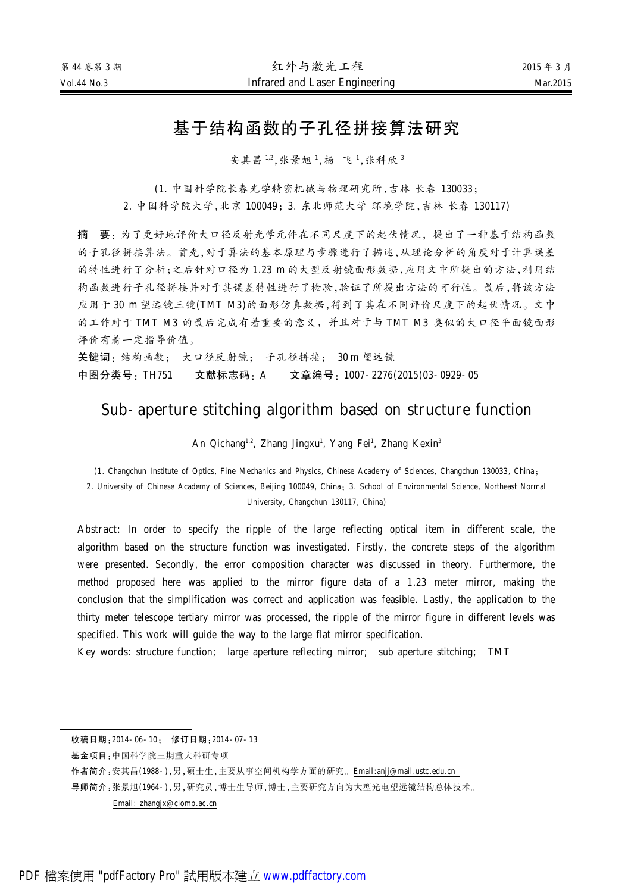# 基于结构函数的子孔径拼接算法研究

安其昌 1,2,张景旭 <sup>1</sup>,杨 飞 <sup>1</sup>,张科欣 <sup>3</sup>

(1. 中国科学院长春光学精密机械与物理研究所,吉林 长春 130033;

2. 中国科学院大学,北京 100049;3. 东北师范大学 环境学院,吉林 长春 130117)

摘 要:为了更好地评价大口径反射光学元件在不同尺度下的起伏情况,提出了一种基于结构函数 的子孔径拼接算法。首先,对于算法的基本原理与步骤进行了描述,从理论分析的角度对于计算误差 的特性进行了分析;之后针对口径为 1.23 m 的大型反射镜面形数据,应用文中所提出的方法,利用结 构函数进行子孔径拼接并对于其误差特性进行了检验,验证了所提出方法的可行性。最后,将该方法 应用于 30 m 望远镜三镜(TMT M3)的面形仿真数据,得到了其在不同评价尺度下的起伏情况。文中 的工作对于 TMT M3 的最后完成有着重要的意义,并且对于与 TMT M3 类似的大口径平面镜面形 评价有着一定指导价值。

关键词: 结构函数; 大口径反射镜; 子孔径拼接; 30 m 望远镜 中图分类号:TH751 文献标志码:A 文章编号:1007-2276(2015)03-0929-05

# Sub-aperture stitching algorithm based on structure function

An Qichang<sup>1,2</sup>, Zhang Jingxu<sup>1</sup>, Yang Fei<sup>1</sup>, Zhang Kexin<sup>3</sup>

(1. Changchun Institute of Optics, Fine Mechanics and Physics, Chinese Academy of Sciences, Changchun 130033, China: 2. University of Chinese Academy of Sciences, Beijing 100049, China; 3. School of Environmental Science, Northeast Normal University, Changchun 130117, China)

Abstract: In order to specify the ripple of the large reflecting optical item in different scale, the algorithm based on the structure function was investigated. Firstly, the concrete steps of the algorithm were presented. Secondly, the error composition character was discussed in theory. Furthermore, the method proposed here was applied to the mirror figure data of a 1.23 meter mirror, making the conclusion that the simplification was correct and application was feasible. Lastly, the application to the thirty meter telescope tertiary mirror was processed, the ripple of the mirror figure in different levels was specified. This work will guide the way to the large flat mirror specification.

Key words: structure function; large aperture reflecting mirror; sub aperture stitching; TMT

收稿日期: 2014-06-10; 修订日期: 2014-07-13

基金项目:中国科学院三期重大科研专项

作者简介:安其昌(1988-),男,硕士生,主要从事空间机构学方面的研究。[Email:anjj@mail.ustc.edu.cn](mailto:Email:anjj@mail.ustc.edu.cn)

导师简介:张景旭(1964-),男,研究员,博士生导师,博士,主要研究方向为大型光电望远镜结构总体技术。

Email: [zhangjx@ciomp.ac.cn](mailto:Email:zhangjx@ciomp.ac.cn)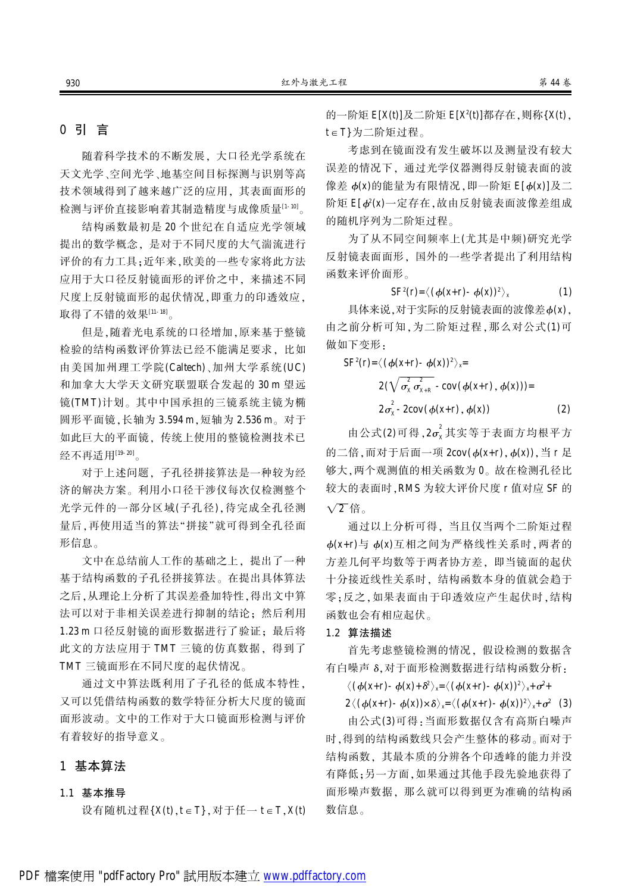# 0 引 言

随着科学技术的不断发展, 大口径光学系统在 天文光学、空间光学、地基空间目标探测与识别等高 技术领域得到了越来越广泛的应用, 其表面面形的 检测与评价直接影响着其制造精度与成像质量<sup>[1-10]</sup>。

结构函数最初是 20 个世纪在自适应光学领域 提出的数学概念,是对于不同尺度的大气湍流进行 评价的有力工具;近年来,欧美的一些专家将此方法 应用于大口径反射镜面形的评价之中, 来描述不同 尺度上反射镜面形的起伏情况, 即重力的印透效应, 取得了不错的效果[11-18]。

但是, 随着光电系统的口径增加, 原来基于整镜 检验的结构函数评价算法已经不能满足要求,比如 由美国加州理工学院(Caltech)、加州大学系统(UC) 和加拿大大学天文研究联盟联合发起的 30 m 望远 镜(TMT)计划。其中中国承担的三镜系统主镜为椭 圆形平面镜,长轴为 3.594 m,短轴为 2.536 m。对于 如此巨大的平面镜,传统上使用的整镜检测技术已 经不再适用[19-20]。

对于上述问题, 子孔径拼接算法是一种较为经 济的解决方案。利用小口径干涉仪每次仅检测整个 光学元件的一部分区域(子孔径), 待完成全孔径测 量后,再使用适当的算法"拼接"就可得到全孔径面 形信息。

文中在总结前人工作的基础之上, 提出了一种 基于结构函数的子孔径拼接算法。在提出具体算法 之后,从理论上分析了其误差叠加特性,得出文中算 法可以对于非相关误差进行抑制的结论: 然后利用 1.23 m 口径反射镜的面形数据进行了验证: 最后将 此文的方法应用于 TMT 三镜的仿真数据, 得到了 TMT 三镜面形在不同尺度的起伏情况。

通过文中算法既利用了子孔径的低成本特性, 又可以凭借结构函数的数学特征分析大尺度的镜面 面形波动。文中的工作对于大口镜面形检测与评价 有着较好的指导意义。

### 1 基本算法

#### 1.1 基本推导

设有随机过程 $\{X(t), t \in T\}$ , 对于任一  $t \in T$ ,  $X(t)$ 

的一阶矩  $\mathsf{E}[{\mathsf{X}}({\mathsf{t}})]$ 及二阶矩  $\mathsf{E}[{\mathsf{X}}^{\scriptscriptstyle 2}({\mathsf{t}})]$ 都存在,则称 $\{{\mathsf{X}}({\mathsf{t}})\}$ , t E T}为二阶矩过程。

考虑到在镜面没有发生破坏以及测量没有较大 误差的情况下,通过光学仪器测得反射镜表面的波 像差  $\phi$ (x)的能量为有限情况, 即一阶矩 E[ $\phi$ (x)]及二 阶矩  $\mathsf{E}[\phi^2(\mathsf{x})$ 一定存在,故由反射镜表面波像差组成 的随机序列为二阶矩过程。

为了从不同空间频率上(尤其是中频)研究光学 反射镜表面面形, 国外的一些学者提出了利用结构 函数来评价面形。

$$
SF^{2}(r) = \langle (\phi(x+r) - \phi(x))^{2} \rangle_{x}
$$
 (1)

具体来说. 对于实际的反射镜表面的波像差 b(x). 由之前分析可知,为二阶矩过程,那么对公式(1)可 做如下变形,

$$
SF^{2}(r) = \langle (\phi(x+r) - \phi(x))^{2} \rangle_{x} =
$$
  
2(\sqrt{\sigma\_{x}^{2} \sigma\_{x+R}^{2}} - cov(\phi(x+r), \phi(x))) =  
2\sigma\_{x}^{2} - 2cov(\phi(x+r), \phi(x)) (2)

由公式(2)可得,2 $\sigma_{\sf x}^2$ 其实等于表面方均根平方 的二倍, 而对于后面一项  $2\text{cov}(\phi(\mathbf{x}+\mathbf{r}), \phi(\mathbf{x}))$ , 当 r 足 够大,两个观测值的相关函数为 0。故在检测孔径比 较大的表面时, RMS 为较大评价尺度 r 值对应 SF 的  $\sqrt{2}$ 倍。

通过以上分析可得, 当且仅当两个二阶矩过程  $d(x+r)$ 与  $d(x)$ 互相之间为严格线性关系时, 两者的 方差几何平均数等于两者协方差, 即当镜面的起伏 十分接近线性关系时,结构函数本身的值就会趋于 零;反之,如果表面由于印透效应产生起伏时,结构 函数也会有相应起伏。

#### 1.2 算法描述

首先考虑整镜检测的情况, 假设检测的数据含 有白噪声 δ.对于面形检测数据进行结构函数分析:

 $\langle (\phi(x+r) - \phi(x) + \delta^2 \rangle_x = \langle (\phi(x+r) - \phi(x))^2 \rangle_x + \sigma^2 +$ 

 $2\langle (\phi(\mathbf{x}+\mathbf{r})-\phi(\mathbf{x}))\times \delta \rangle_{\mathbf{x}}=\langle (\phi(\mathbf{x}+\mathbf{r})-\phi(\mathbf{x}))^2 \rangle_{\mathbf{x}}+\sigma^2$  (3)

由公式(3)可得:当面形数据仅含有高斯白噪声 时,得到的结构函数线只会产生整体的移动。而对于 结构函数,其最本质的分辨各个印透峰的能力并没 有降低:另一方面.如果通过其他手段先验地获得了 面形噪声数据, 那么就可以得到更为准确的结构函 数信息。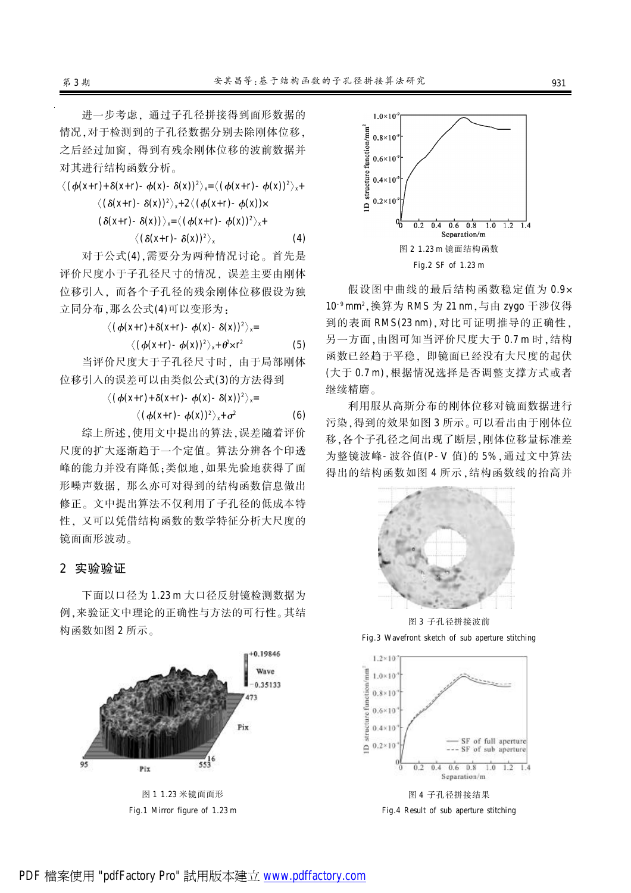进一步考虑。通过子孔径拼接得到面形数据的 情况,对于检测到的子孔径数据分别去除刚体位移, 之后经过加窗,得到有残余刚体位移的波前数据并 对其进行结构函数分析。

$$
\langle (\phi(x+r)+\delta(x+r)-\phi(x)-\delta(x))^2 \rangle_x = \langle (\phi(x+r)-\phi(x))^2 \rangle_x +
$$
  

$$
\langle (\delta(x+r)-\delta(x))^2 \rangle_x + 2 \langle (\phi(x+r)-\phi(x)) \times
$$
  

$$
(\delta(x+r)-\delta(x)) \rangle_x = \langle (\phi(x+r)-\phi(x))^2 \rangle_x +
$$
  

$$
\langle (\delta(x+r)-\delta(x))^2 \rangle_x \qquad (4)
$$

对于公式(4),需要分为两种情况讨论。首先是 评价尺度小于子孔径尺寸的情况, 误差主要由刚体 位移引入袁 而各个子孔径的残余刚体位移假设为独 立同分布,那么公式(4)可以变形为:

$$
\langle (\phi(x+r)+\delta(x+r)-\phi(x)-\delta(x))^2 \rangle_x =
$$

$$
\langle (\phi(\mathbf{x}+\mathbf{r})-\phi(\mathbf{x}))^2 \rangle_{\mathbf{x}} + \theta^2 \mathbf{x} \mathbf{r}^2
$$
 (5)

当评价尺度大于子孔径尺寸时, 由于局部刚体 位移引入的误差可以由类似公式(3)的方法得到

 $\langle (\phi(x+r)+\delta(x+r)-\phi(x)-\delta(x))^2 \rangle_x=$ 

$$
\langle (\phi(\mathbf{x}+\mathbf{r})-\phi(\mathbf{x}))^2 \rangle_{\mathbf{x}}+\sigma^2
$$
 (6)

综上所述,使用文中提出的算法,误差随着评价 尺度的扩大逐渐趋于一个定值。算法分辨各个印透 峰的能力并没有降低;类似地,如果先验地获得了面 形噪声数据, 那么亦可对得到的结构函数信息做出 修正。文中提出算法不仅利用了子孔径的低成本特 性。又可以凭借结构函数的数学特征分析大尺度的 镜面面形波动。

#### 2 实验验证

下面以口径为 1.23 m 大口径反射镜检测数据为 例,来验证文中理论的正确性与方法的可行性。其结 构函数如图 2 所示。



Fig.1 Mirror figure of 1.23 m



假设图中曲线的最后结构函数稳定值为 0.9× 10<sup>-9</sup> mm<sup>2</sup>,换算为 RMS 为 21 nm, 与由 zygo 干涉仪得 到的表面 RMS(23 nm), 对比可证明推导的正确性, 另一方面,由图可知当评价尺度大于 0.7 m 时,结构 函数已经趋于平稳, 即镜面已经没有大尺度的起伏 (大于 0.7 m), 根据情况选择是否调整支撑方式或者 继续精磨。

利用服从高斯分布的刚体位移对镜面数据进行 污染, 得到的效果如图 3 所示。可以看出由于刚体位 移,各个子孔径之间出现了断层,刚体位移量标准差 为整镜波峰-波谷值(P-V值)的 5%, 通过文中算法 得出的结构函数如图 4 所示,结构函数线的抬高并



图 3 子孔径拼接波前

Fig.3 Wavefront sketch of sub aperture stitching



Fig.4 Result of sub aperture stitching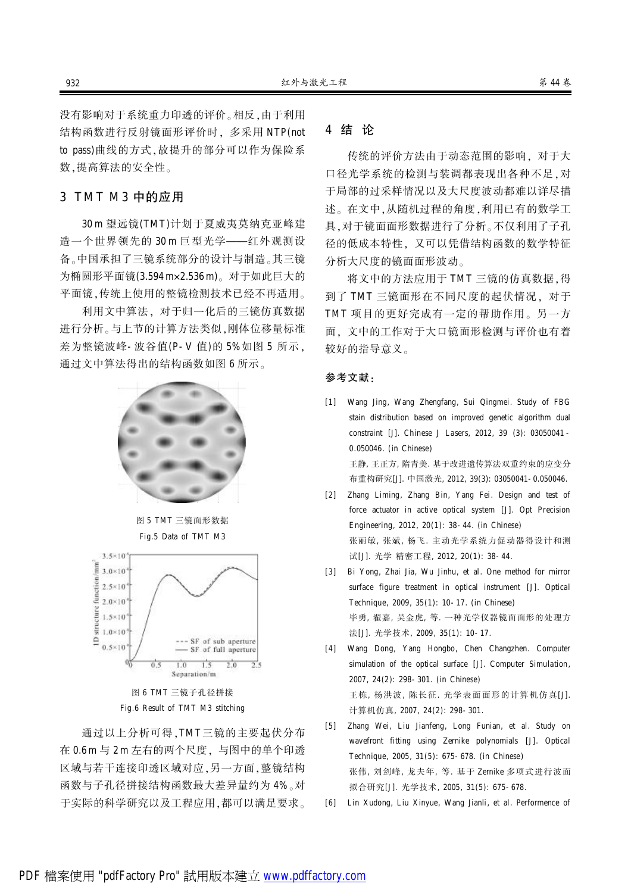没有影响对于系统重力印透的评价。相反,由于利用 结构函数进行反射镜面形评价时, 多采用 NTP(not to pass)曲线的方式,故提升的部分可以作为保险系 数. 提高算法的安全性。

## 3 TMT M3 中的应用

30 m 望远镜(TMT)计划于夏威夷莫纳克亚峰建 浩一个世界领先的 30 m 巨型光学——红外观测设 备。中国承担了三镜系统部分的设计与制造。其三镜 为椭圆形平面镜(3.594 m×2.536 m)。对于如此巨大的 平面镜,传统上使用的整镜检测技术已经不再适用。

利用文中算法袁 对于归一化后的三镜仿真数据 进行分析。与上节的计算方法类似,刚体位移量标准 差为整镜波峰-波谷值(P-V值)的 5%如图 5 所示, 通过文中算法得出的结构函数如图 6 所示。



图 5 TMT 三镜面形数据 Fig.5 Data of TMT M3



图 6 TMT 三镜子孔径拼接 Fig.6 Result of TMT M3 stitching

通过以上分析可得,TMT三镜的主要起伏分布 在 0.6m 与 2m 左右的两个尺度, 与图中的单个印透 区域与若干连接印透区域对应,另一方面, 整镜结构 函数与子孔径拼接结构函数最大差异量约为 4%。对 于实际的科学研究以及工程应用,都可以满足要求。

### 4 结 论

传统的评价方法由于动态范围的影响, 对于大 口径光学系统的检测与装调都表现出各种不足,对 于局部的过采样情况以及大尺度波动都难以详尽描 述。在文中,从随机过程的角度,利用已有的数学工 具,对于镜面面形数据进行了分析。不仅利用了子孔 径的低成本特性袁 又可以凭借结构函数的数学特征 分析大尺度的镜面面形波动。

将文中的方法应用于 TMT 三镜的仿真数据,得 到了 TMT 三镜面形在不同尺度的起伏情况, 对于 TMT 项目的更好完成有一定的帮助作用。另一方 面,文中的工作对于大口镜面形检测与评价也有着 较好的指导意义。

#### 参考文献:

- [1] Wang Jing, Wang Zhengfang, Sui Qingmei. Study of FBG stain distribution based on improved genetic algorithm dual constraint [J]. Chinese J Lasers, 2012, 39 (3): 03050041 - 0.050046. (in Chinese) 王静, 王正方, 隋青美. 基于改进遗传算法双重约束的应变分 布重构研究[J]. 中国激光, 2012, 39(3): 03050041-0.050046.
- [2] Zhang Liming, Zhang Bin, Yang Fei. Design and test of force actuator in active optical system [J]. Opt Precision Engineering, 2012, 20(1): 38-44. (in Chinese) 张丽敏, 张斌, 杨飞. 主动光学系统力促动器得设计和测 试[J]. 光学 精密工程, 2012, 20(1): 38-44.
- [3] Bi Yong, Zhai Jia, Wu Jinhu, et al. One method for mirror surface figure treatment in optical instrument [J]. Optical Technique, 2009, 35(1): 10-17. (in Chinese) 毕勇, 翟嘉, 吴金虎, 等. 一种光学仪器镜面面形的处理方 法[J]. 光学技术, 2009, 35(1): 10-17. [4] Wang Dong, Yang Hongbo, Chen Changzhen. Computer
- simulation of the optical surface [J]. Computer Simulation, 2007, 24(2): 298-301. (in Chinese) 王栋, 杨洪波, 陈长征. 光学表面面形的计算机仿真[J]. 计算机仿真, 2007, 24(2): 298-301.
- [5] Zhang Wei, Liu Jianfeng, Long Funian, et al. Study on wavefront fitting using Zernike polynomials [J]. Optical Technique, 2005, 31(5): 675-678. (in Chinese) 张伟, 刘剑峰, 龙夫年, 等. 基于 Zernike 多项式进行波面 拟合研究[J]. 光学技术, 2005, 31(5): 675-678.
- [6] Lin Xudong, Liu Xinyue, Wang Jianli, et al. Performence of